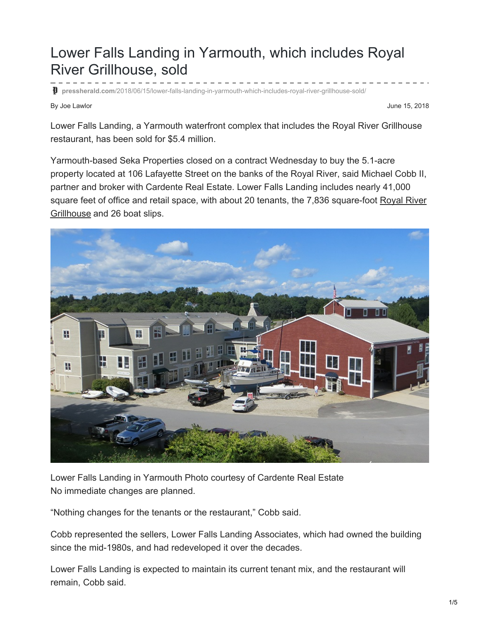## Lower Falls Landing in Yarmouth, which includes Royal River Grillhouse, sold

**pressherald.com**[/2018/06/15/lower-falls-landing-in-yarmouth-which-includes-royal-river-grillhouse-sold/](https://www.pressherald.com/2018/06/15/lower-falls-landing-in-yarmouth-which-includes-royal-river-grillhouse-sold/)

By Joe Lawlor June 15, 2018

Lower Falls Landing, a Yarmouth waterfront complex that includes the Royal River Grillhouse restaurant, has been sold for \$5.4 million.

Yarmouth-based Seka Properties closed on a contract Wednesday to buy the 5.1-acre property located at 106 Lafayette Street on the banks of the Royal River, said Michael Cobb II, partner and broker with Cardente Real Estate. Lower Falls Landing includes nearly 41,000 square feet of office and retail space, with about 20 tenants, the 7,836 [square-foot](http://mainetoday.com/eat-drink/bar-guide/theres-no-bad-seat-royal-river-grill-house/) Royal River Grillhouse and 26 boat slips.



Lower Falls Landing in Yarmouth Photo courtesy of Cardente Real Estate No immediate changes are planned.

"Nothing changes for the tenants or the restaurant," Cobb said.

Cobb represented the sellers, Lower Falls Landing Associates, which had owned the building since the mid-1980s, and had redeveloped it over the decades.

Lower Falls Landing is expected to maintain its current tenant mix, and the restaurant will remain, Cobb said.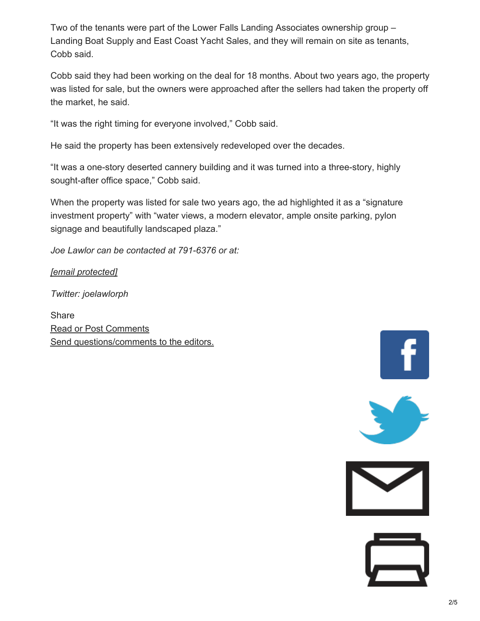Two of the tenants were part of the Lower Falls Landing Associates ownership group – Landing Boat Supply and East Coast Yacht Sales, and they will remain on site as tenants, Cobb said.

Cobb said they had been working on the deal for 18 months. About two years ago, the property was listed for sale, but the owners were approached after the sellers had taken the property off the market, he said.

"It was the right timing for everyone involved," Cobb said.

He said the property has been extensively redeveloped over the decades.

"It was a one-story deserted cannery building and it was turned into a three-story, highly sought-after office space," Cobb said.

When the property was listed for sale two years ago, the ad highlighted it as a "signature investment property" with "water views, a modern elevator, ample onsite parking, pylon signage and beautifully landscaped plaza."

*Joe Lawlor can be contacted at 791-6376 or at:*

*[email [protected\]](https://www.pressherald.com/cdn-cgi/l/email-protection)*

*Twitter: joelawlorph*

**Share** Read or Post Comments Send [questions/comments](https://www.pressherald.com/feedback-form/) to the editors.





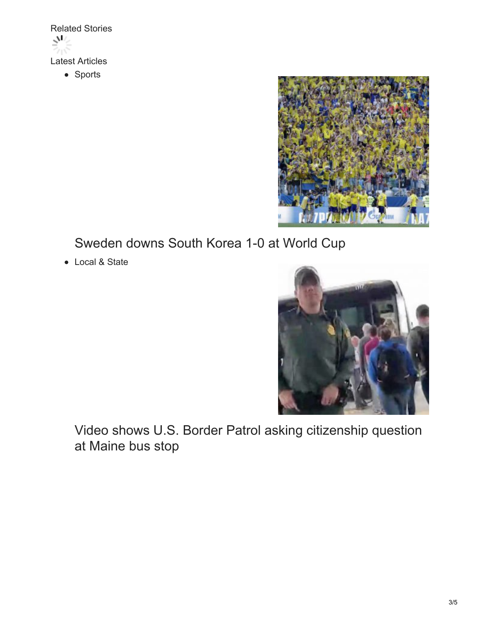

• Sports



[Sweden](https://www.pressherald.com/2018/06/18/sweden-downs-south-korea-1-0-in-opener/) downs South Korea 1-0 at World Cup

Local & State



Video shows U.S. Border Patrol asking [citizenship](https://www.pressherald.com/2018/06/18/video-shows-border-patrol-asking-citizenship-status-at-maine-bus-stop/) question at Maine bus stop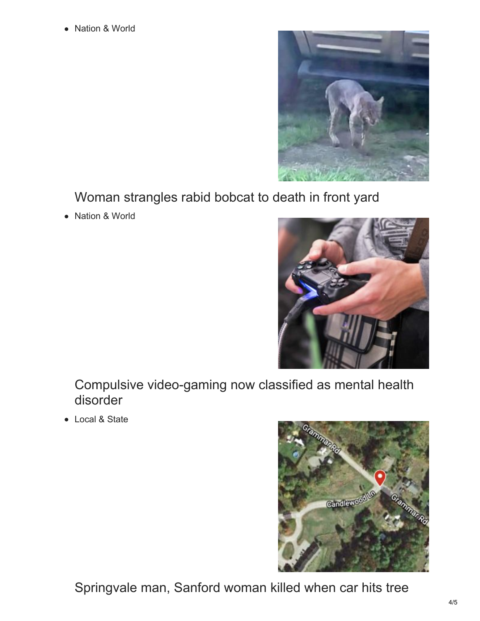Nation & World



Woman [strangles](https://www.pressherald.com/2018/06/18/woman-strangles-rabid-bobcat-to-death-in-front-yard/) rabid bobcat to death in front yard

Nation & World  $\bullet$ 



Compulsive [video-gaming](https://www.pressherald.com/2018/06/18/compulsive-video-game-playing-now-classified-as-mental-health-problem/) now classified as mental health disorder

Local & State



[Springvale](https://www.pressherald.com/2018/06/18/crash-kills-springvale-man-and-sanford-woman/) man, Sanford woman killed when car hits tree